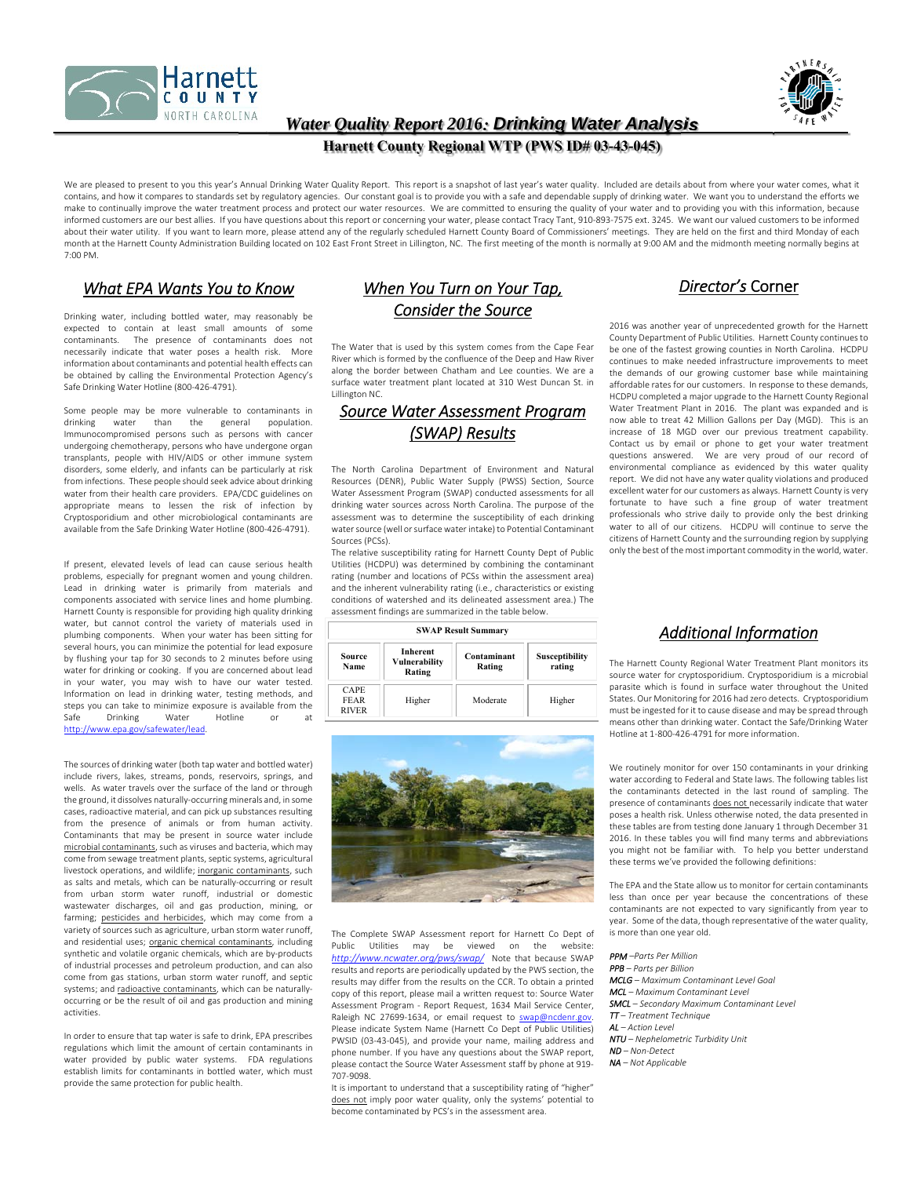



### *Water Quality Report 2016: Drinking Water Analysis*

#### **Harnett County Regional WTP (PWS ID# 03-43-045)**

We are pleased to present to you this year's Annual Drinking Water Quality Report. This report is a snapshot of last year's water quality. Included are details about from where your water comes, what it contains, and how it compares to standards set by regulatory agencies. Our constant goal is to provide you with a safe and dependable supply of drinking water. We want you to understand the efforts we make to continually improve the water treatment process and protect our water resources. We are committed to ensuring the quality of your water and to providing you with this information, because informed customers are our best allies. If you have questions about this report or concerning your water, please contact Tracy Tant, 910‐893‐7575 ext. 3245. We want our valued customers to be informed about their water utility. If you want to learn more, please attend any of the regularly scheduled Harnett County Board of Commissioners' meetings. They are held on the first and third Monday of each month at the Harnett County Administration Building located on 102 East Front Street in Lillington, NC. The first meeting of the month is normally at 9:00 AM and the midmonth meeting normally begins at 7:00 PM.

#### *What EPA Wants You to Know*

Drinking water, including bottled water, may reasonably be expected to contain at least small amounts of some<br>contaminants. The presence of contaminants does not The presence of contaminants does not necessarily indicate that water poses a health risk. More information about contaminants and potential health effects can be obtained by calling the Environmental Protection Agency's Safe Drinking Water Hotline (800‐426‐4791).

Some people may be more vulnerable to contaminants in<br>drinking water than the general population. drinking water than the general population. Immunocompromised persons such as persons with cancer undergoing chemotherapy, persons who have undergone organ transplants, people with HIV/AIDS or other immune system disorders, some elderly, and infants can be particularly at risk from infections. These people should seek advice about drinking water from their health care providers. EPA/CDC guidelines on appropriate means to lessen the risk of infection by Cryptosporidium and other microbiological contaminants are available from the Safe Drinking Water Hotline (800‐426‐4791).

If present, elevated levels of lead can cause serious health problems, especially for pregnant women and young children. Lead in drinking water is primarily from materials and components associated with service lines and home plumbing. Harnett County is responsible for providing high quality drinking water, but cannot control the variety of materials used in plumbing components. When your water has been sitting for several hours, you can minimize the potential for lead exposure by flushing your tap for 30 seconds to 2 minutes before using water for drinking or cooking. If you are concerned about lead in your water, you may wish to have our water tested. Information on lead in drinking water, testing methods, and steps you can take to minimize exposure is available from the Drinking Water Hotline or http://www.epa.gov/safewater/lead.

The sources of drinking water (both tap water and bottled water) include rivers, lakes, streams, ponds, reservoirs, springs, and wells. As water travels over the surface of the land or through the ground, it dissolves naturally‐occurring minerals and, in some cases, radioactive material, and can pick up substances resulting from the presence of animals or from human activity. Contaminants that may be present in source water include microbial contaminants, such as viruses and bacteria, which may come from sewage treatment plants, septic systems, agricultural livestock operations, and wildlife; inorganic contaminants, such as salts and metals, which can be naturally‐occurring or result from urban storm water runoff, industrial or domestic wastewater discharges, oil and gas production, mining, or farming; pesticides and herbicides, which may come from a variety of sources such as agriculture, urban storm water runoff, and residential uses; <u>organic chemical contaminants</u>, including synthetic and volatile organic chemicals, which are by-products of industrial processes and petroleum production, and can also come from gas stations, urban storm water runoff, and septic systems; and radioactive contaminants, which can be naturallyoccurring or be the result of oil and gas production and mining activities.

In order to ensure that tap water is safe to drink, EPA prescribes regulations which limit the amount of certain contaminants in water provided by public water systems. FDA regulations establish limits for contaminants in bottled water, which must provide the same protection for public health.

# *When You Turn on Your Tap, Consider the Source*

The Water that is used by this system comes from the Cape Fear River which is formed by the confluence of the Deep and Haw River along the border between Chatham and Lee counties. We are a surface water treatment plant located at 310 West Duncan St. in Lillington NC.

### *Source Water Assessment Program (SWAP) Results*

The North Carolina Department of Environment and Natural Resources (DENR), Public Water Supply (PWSS) Section, Source Water Assessment Program (SWAP) conducted assessments for all drinking water sources across North Carolina. The purpose of the assessment was to determine the susceptibility of each drinking water source (well or surface water intake) to Potential Contaminant Sources (PCSs).

The relative susceptibility rating for Harnett County Dept of Public Utilities (HCDPU) was determined by combining the contaminant rating (number and locations of PCSs within the assessment area) and the inherent vulnerability rating (i.e., characteristics or existing conditions of watershed and its delineated assessment area.) The assessment findings are summarized in the table below.

| <b>SWAP Result Summary</b>                 |                                            |                       |                          |  |  |  |  |  |
|--------------------------------------------|--------------------------------------------|-----------------------|--------------------------|--|--|--|--|--|
| Source<br>Name                             | <b>Inherent</b><br>Vulnerability<br>Rating | Contaminant<br>Rating | Susceptibility<br>rating |  |  |  |  |  |
| <b>CAPE</b><br><b>FEAR</b><br><b>RIVER</b> | Higher                                     | Moderate              | Higher                   |  |  |  |  |  |



The Complete SWAP Assessment report for Harnett Co Dept of<br>Public Utilities may be viewed on the website: Utilities may be viewed on the website: *http://www.ncwater.org/pws/swap/* Note that because SWAP results and reports are periodically updated by the PWS section, the results may differ from the results on the CCR. To obtain a printed copy of this report, please mail a written request to: Source Water Assessment Program - Report Request, 1634 Mail Service Center, Raleigh NC 27699-1634, or email request to swap@ncdenr.go Please indicate System Name (Harnett Co Dept of Public Utilities) PWSID (03-43-045), and provide your name, mailing address and phone number. If you have any questions about the SWAP report, please contact the Source Water Assessment staff by phone at 919‐ .<br>707-9098.

It is important to understand that a susceptibility rating of "higher" does not imply poor water quality, only the systems' potential to become contaminated by PCS's in the assessment area.

# *Director's* Corner

2016 was another year of unprecedented growth for the Harnett County Department of Public Utilities. Harnett County continues to be one of the fastest growing counties in North Carolina. HCDPU continues to make needed infrastructure improvements to meet the demands of our growing customer base while maintaining affordable rates for our customers. In response to these demands, HCDPU completed a major upgrade to the Harnett County Regional Water Treatment Plant in 2016. The plant was expanded and is now able to treat 42 Million Gallons per Day (MGD). This is an increase of 18 MGD over our previous treatment capability. Contact us by email or phone to get your water treatment questions answered. We are very proud of our record of environmental compliance as evidenced by this water quality report. We did not have any water quality violations and produced excellent water for our customers as always. Harnett County is very fortunate to have such a fine group of water treatment professionals who strive daily to provide only the best drinking water to all of our citizens. HCDPU will continue to serve the citizens of Harnett County and the surrounding region by supplying only the best of the most important commodity in the world, water.

## *Additional Information*

The Harnett County Regional Water Treatment Plant monitors its source water for cryptosporidium. Cryptosporidium is a microbial parasite which is found in surface water throughout the United States. Our Monitoring for 2016 had zero detects. Cryptosporidium must be ingested for it to cause disease and may be spread through means other than drinking water. Contact the Safe/Drinking Water Hotline at 1‐800‐426‐4791 for more information.

We routinely monitor for over 150 contaminants in your drinking water according to Federal and State laws. The following tables list the contaminants detected in the last round of sampling. The presence of contaminants does not necessarily indicate that water poses a health risk. Unless otherwise noted, the data presented in these tables are from testing done January 1 through December 31 2016. In these tables you will find many terms and abbreviations you might not be familiar with. To help you better understand these terms we've provided the following definitions:

The EPA and the State allow us to monitor for certain contaminants less than once per year because the concentrations of these contaminants are not expected to vary significantly from year to year. Some of the data, though representative of the water quality, is more than one year old.

*PPM –Parts Per Million PPB – Parts per Billion MCLG – Maximum Contaminant Level Goal MCL – Maximum Contaminant Level SMCL – Secondary Maximum Contaminant Level TT – Treatment Technique AL – Action Level NTU – Nephelometric Turbidity Unit ND – Non‐Detect* 

*NA – Not Applicable*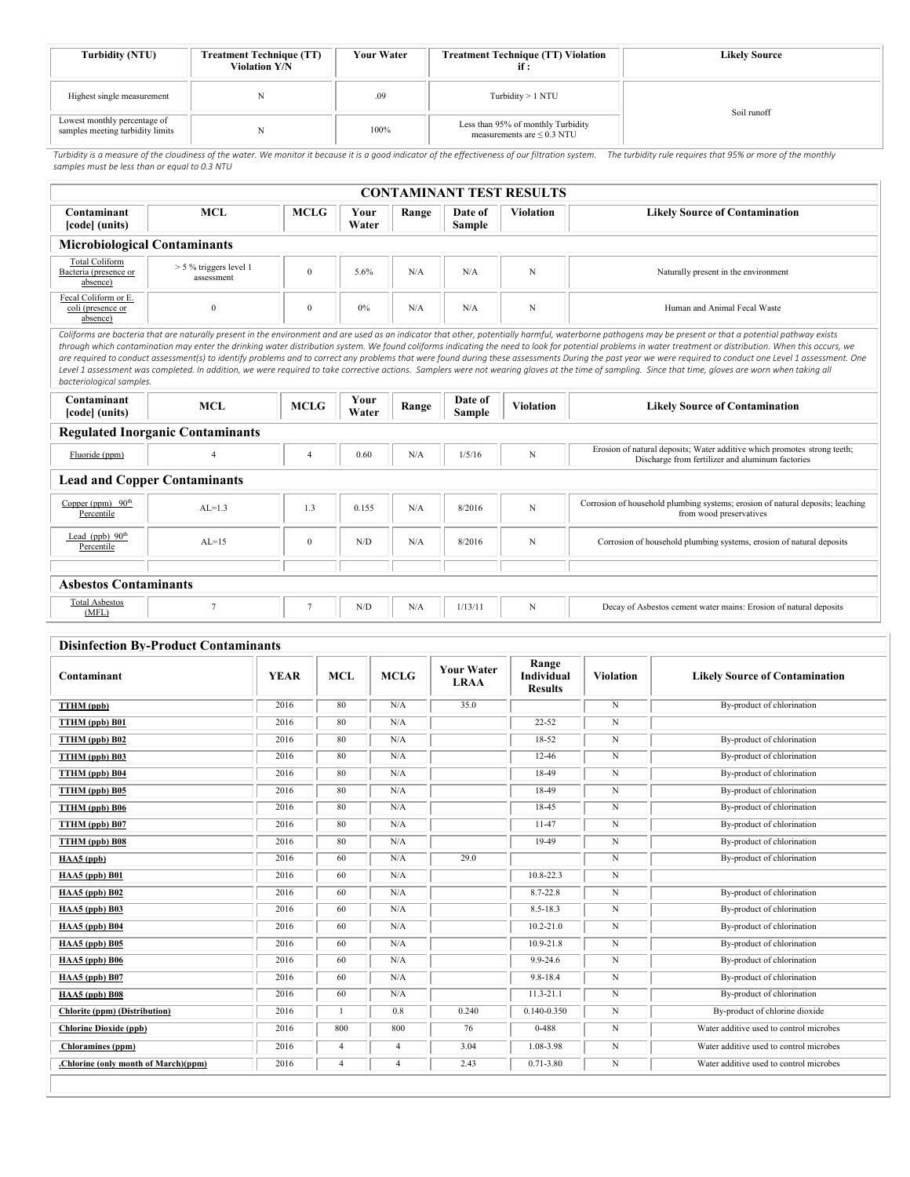| Turbidity (NTU)                                                  | <b>Your Water</b><br><b>Treatment Technique (TT)</b><br><b>Violation Y/N</b> |      | <b>Treatment Technique (TT) Violation</b><br>if :                     | <b>Likely Source</b> |  |
|------------------------------------------------------------------|------------------------------------------------------------------------------|------|-----------------------------------------------------------------------|----------------------|--|
| Highest single measurement                                       |                                                                              | .09  | Turbidity > 1 NTU                                                     | Soil runoff          |  |
| Lowest monthly percentage of<br>samples meeting turbidity limits |                                                                              | 100% | Less than 95% of monthly Turbidity<br>measurements are $\leq$ 0.3 NTU |                      |  |

Turbidity is a measure of the cloudiness of the water. We monitor it because it is a good indicator of the effectiveness of our filtration system. The turbidity rule requires that 95% or more of the monthly<br>samples must be

| <b>CONTAMINANT TEST RESULTS</b>                                                                                                                                                                                                                                                                                                                                                                                                                                                                                                                                                                                                                                                                                                                                                                                                                                                 |                                         |                |               |       |                          |                  |                                                                                                                              |  |  |  |  |
|---------------------------------------------------------------------------------------------------------------------------------------------------------------------------------------------------------------------------------------------------------------------------------------------------------------------------------------------------------------------------------------------------------------------------------------------------------------------------------------------------------------------------------------------------------------------------------------------------------------------------------------------------------------------------------------------------------------------------------------------------------------------------------------------------------------------------------------------------------------------------------|-----------------------------------------|----------------|---------------|-------|--------------------------|------------------|------------------------------------------------------------------------------------------------------------------------------|--|--|--|--|
| Contaminant<br>[code] (units)                                                                                                                                                                                                                                                                                                                                                                                                                                                                                                                                                                                                                                                                                                                                                                                                                                                   | <b>MCL</b>                              | <b>MCLG</b>    | Your<br>Water | Range | Date of<br><b>Sample</b> | <b>Violation</b> | <b>Likely Source of Contamination</b>                                                                                        |  |  |  |  |
| <b>Microbiological Contaminants</b>                                                                                                                                                                                                                                                                                                                                                                                                                                                                                                                                                                                                                                                                                                                                                                                                                                             |                                         |                |               |       |                          |                  |                                                                                                                              |  |  |  |  |
| <b>Total Coliform</b><br>Bacteria (presence or<br>absence)                                                                                                                                                                                                                                                                                                                                                                                                                                                                                                                                                                                                                                                                                                                                                                                                                      | $> 5 \%$ triggers level 1<br>assessment | $\theta$       | 5.6%          | N/A   | N/A                      | N                | Naturally present in the environment                                                                                         |  |  |  |  |
| Fecal Coliform or E.<br>coli (presence or<br>absence)                                                                                                                                                                                                                                                                                                                                                                                                                                                                                                                                                                                                                                                                                                                                                                                                                           | $\theta$                                | $\mathbf{0}$   | 0%            | N/A   | N/A                      | N                | Human and Animal Fecal Waste                                                                                                 |  |  |  |  |
| Coliforms are bacteria that are naturally present in the environment and are used as an indicator that other, potentially harmful, waterborne pathogens may be present or that a potential pathway exists<br>through which contamination may enter the drinking water distribution system. We found coliforms indicating the need to look for potential problems in water treatment or distribution. When this occurs, we<br>are required to conduct assessment(s) to identify problems and to correct any problems that were found during these assessments During the past year we were required to conduct one Level 1 assessment. One<br>Level 1 assessment was completed. In addition, we were required to take corrective actions. Samplers were not wearing gloves at the time of sampling. Since that time, gloves are worn when taking all<br>bacteriological samples. |                                         |                |               |       |                          |                  |                                                                                                                              |  |  |  |  |
| Contaminant<br>[code] (units)                                                                                                                                                                                                                                                                                                                                                                                                                                                                                                                                                                                                                                                                                                                                                                                                                                                   | <b>MCL</b>                              | <b>MCLG</b>    | Your<br>Water | Range | Date of<br><b>Sample</b> | <b>Violation</b> | <b>Likely Source of Contamination</b>                                                                                        |  |  |  |  |
|                                                                                                                                                                                                                                                                                                                                                                                                                                                                                                                                                                                                                                                                                                                                                                                                                                                                                 | <b>Regulated Inorganic Contaminants</b> |                |               |       |                          |                  |                                                                                                                              |  |  |  |  |
| Fluoride (ppm)                                                                                                                                                                                                                                                                                                                                                                                                                                                                                                                                                                                                                                                                                                                                                                                                                                                                  | 4                                       | $\overline{4}$ | 0.60          | N/A   | 1/5/16                   | N                | Erosion of natural deposits; Water additive which promotes strong teeth;<br>Discharge from fertilizer and aluminum factories |  |  |  |  |
|                                                                                                                                                                                                                                                                                                                                                                                                                                                                                                                                                                                                                                                                                                                                                                                                                                                                                 | <b>Lead and Copper Contaminants</b>     |                |               |       |                          |                  |                                                                                                                              |  |  |  |  |
| Copper (ppm) $90th$<br>Percentile                                                                                                                                                                                                                                                                                                                                                                                                                                                                                                                                                                                                                                                                                                                                                                                                                                               | $AL=1.3$                                | 1.3            | 0.155         | N/A   | 8/2016                   | $\mathbf N$      | Corrosion of household plumbing systems; erosion of natural deposits; leaching<br>from wood preservatives                    |  |  |  |  |
| Lead (ppb) $90th$<br>Percentile                                                                                                                                                                                                                                                                                                                                                                                                                                                                                                                                                                                                                                                                                                                                                                                                                                                 | $AL=15$                                 | $\mathbf{0}$   | N/D           | N/A   | 8/2016                   | N                | Corrosion of household plumbing systems, erosion of natural deposits                                                         |  |  |  |  |
|                                                                                                                                                                                                                                                                                                                                                                                                                                                                                                                                                                                                                                                                                                                                                                                                                                                                                 |                                         |                |               |       |                          |                  |                                                                                                                              |  |  |  |  |
| <b>Asbestos Contaminants</b>                                                                                                                                                                                                                                                                                                                                                                                                                                                                                                                                                                                                                                                                                                                                                                                                                                                    |                                         |                |               |       |                          |                  |                                                                                                                              |  |  |  |  |
| <b>Total Asbestos</b><br>(MFL)                                                                                                                                                                                                                                                                                                                                                                                                                                                                                                                                                                                                                                                                                                                                                                                                                                                  | $\overline{7}$                          | $\tau$         | N/D           | N/A   | 1/13/11                  | N                | Decay of Asbestos cement water mains: Erosion of natural deposits                                                            |  |  |  |  |

#### **Disinfection By-Product Contaminants**

| ртяниссион ву-гтойцег сонтаннианся   |             |            |             |                                  |                                       |                  |                                         |  |  |
|--------------------------------------|-------------|------------|-------------|----------------------------------|---------------------------------------|------------------|-----------------------------------------|--|--|
| Contaminant                          | <b>YEAR</b> | <b>MCL</b> | <b>MCLG</b> | <b>Your Water</b><br><b>LRAA</b> | Range<br>Individual<br><b>Results</b> | <b>Violation</b> | <b>Likely Source of Contamination</b>   |  |  |
| <b>TTHM</b> (ppb)                    | 2016        | 80         | N/A         | 35.0                             |                                       | N                | By-product of chlorination              |  |  |
| TTHM (ppb) B01                       | 2016        | 80         | N/A         |                                  | $22 - 52$                             | N                |                                         |  |  |
| TTHM (ppb) B02                       | 2016        | 80         | N/A         |                                  | 18-52                                 | N                | By-product of chlorination              |  |  |
| TTHM (ppb) B03                       | 2016        | 80         | N/A         |                                  | $12 - 46$                             | N                | By-product of chlorination              |  |  |
| TTHM (ppb) B04                       | 2016        | 80         | N/A         |                                  | 18-49                                 | N                | By-product of chlorination              |  |  |
| TTHM (ppb) B05                       | 2016        | 80         | N/A         |                                  | 18-49                                 | N                | By-product of chlorination              |  |  |
| TTHM (ppb) B06                       | 2016        | 80         | N/A         |                                  | 18-45                                 | $\,$ N           | By-product of chlorination              |  |  |
| TTHM (ppb) B07                       | 2016        | 80         | $\rm N/A$   |                                  | 11-47                                 | N                | By-product of chlorination              |  |  |
| TTHM (ppb) B08                       | 2016        | 80         | N/A         |                                  | 19-49                                 | $\mathbf N$      | By-product of chlorination              |  |  |
| HAA5 (ppb)                           | 2016        | 60         | N/A         | 29.0                             |                                       | N                | By-product of chlorination              |  |  |
| HAA5 (ppb) B01                       | 2016        | 60         | N/A         |                                  | 10.8-22.3                             | N                |                                         |  |  |
| $HAA5$ (ppb) $B02$                   | 2016        | 60         | $\rm N/A$   |                                  | 8.7-22.8                              | N                | By-product of chlorination              |  |  |
| HAA5 (ppb) B03                       | 2016        | 60         | N/A         |                                  | 8.5-18.3                              | N                | By-product of chlorination              |  |  |
| HAA5 (ppb) B04                       | 2016        | 60         | N/A         |                                  | 10.2-21.0                             | N                | By-product of chlorination              |  |  |
| HAA5 (ppb) B05                       | 2016        | 60         | N/A         |                                  | $10.9 - 21.8$                         | N                | By-product of chlorination              |  |  |
| HAA5 (ppb) B06                       | 2016        | 60         | N/A         |                                  | 9.9-24.6                              | N                | By-product of chlorination              |  |  |
| HAA5 (ppb) B07                       | 2016        | 60         | N/A         |                                  | 9.8-18.4                              | N                | By-product of chlorination              |  |  |
| HAA5 (ppb) B08                       | 2016        | 60         | N/A         |                                  | $11.3 - 21.1$                         | $\,$ N           | By-product of chlorination              |  |  |
| Chlorite (ppm) (Distribution)        | 2016        |            | 0.8         | 0.240                            | 0.140-0.350                           | $_{\rm N}$       | By-product of chlorine dioxide          |  |  |
| <b>Chlorine Dioxide (ppb)</b>        | 2016        | 800        | 800         | 76                               | 0-488                                 | N                | Water additive used to control microbes |  |  |
| <b>Chloramines</b> (ppm)             | 2016        | 4          | 4           | 3.04                             | 1.08-3.98                             | N                | Water additive used to control microbes |  |  |
| .Chlorine (only month of March)(ppm) | 2016        | 4          | 4           | 2.43                             | $0.71 - 3.80$                         | N                | Water additive used to control microbes |  |  |
|                                      |             |            |             |                                  |                                       |                  |                                         |  |  |